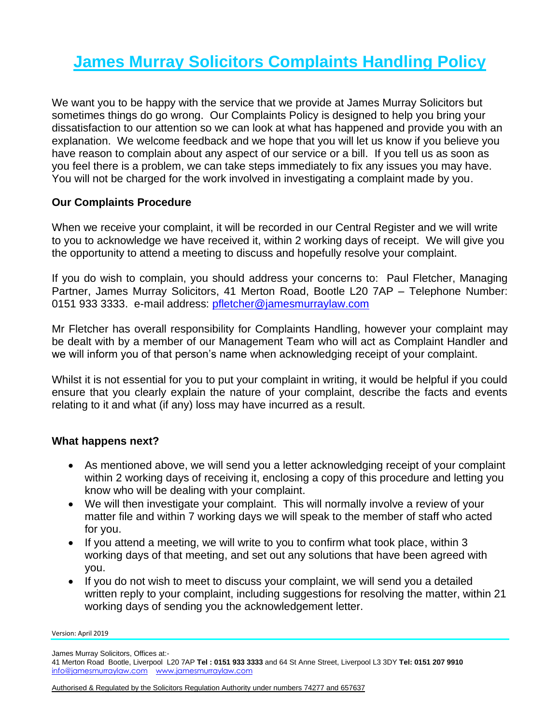## **James Murray Solicitors Complaints Handling Policy**

We want you to be happy with the service that we provide at James Murray Solicitors but sometimes things do go wrong. Our Complaints Policy is designed to help you bring your dissatisfaction to our attention so we can look at what has happened and provide you with an explanation. We welcome feedback and we hope that you will let us know if you believe you have reason to complain about any aspect of our service or a bill. If you tell us as soon as you feel there is a problem, we can take steps immediately to fix any issues you may have. You will not be charged for the work involved in investigating a complaint made by you.

## **Our Complaints Procedure**

When we receive your complaint, it will be recorded in our Central Register and we will write to you to acknowledge we have received it, within 2 working days of receipt. We will give you the opportunity to attend a meeting to discuss and hopefully resolve your complaint.

If you do wish to complain, you should address your concerns to: Paul Fletcher, Managing Partner, James Murray Solicitors, 41 Merton Road, Bootle L20 7AP – Telephone Number: 0151 933 3333. e-mail address: [pfletcher@jamesmurraylaw.com](mailto:pfletcher@jamesmurraylaw.com)

Mr Fletcher has overall responsibility for Complaints Handling, however your complaint may be dealt with by a member of our Management Team who will act as Complaint Handler and we will inform you of that person's name when acknowledging receipt of your complaint.

Whilst it is not essential for you to put your complaint in writing, it would be helpful if you could ensure that you clearly explain the nature of your complaint, describe the facts and events relating to it and what (if any) loss may have incurred as a result.

## **What happens next?**

- As mentioned above, we will send you a letter acknowledging receipt of your complaint within 2 working days of receiving it, enclosing a copy of this procedure and letting you know who will be dealing with your complaint.
- We will then investigate your complaint. This will normally involve a review of your matter file and within 7 working days we will speak to the member of staff who acted for you.
- If you attend a meeting, we will write to you to confirm what took place, within 3 working days of that meeting, and set out any solutions that have been agreed with you.
- If you do not wish to meet to discuss your complaint, we will send you a detailed written reply to your complaint, including suggestions for resolving the matter, within 21 working days of sending you the acknowledgement letter.

Version: April 2019

James Murray Solicitors, Offices at:-

<sup>41</sup> Merton Road Bootle, Liverpool L20 7AP **Tel : 0151 933 3333** and 64 St Anne Street, Liverpool L3 3DY **Tel: 0151 207 9910**  [info@jamesmurraylaw.com](mailto:info@jamesmurraylaw.com) [www.jamesmurraylaw.com](http://www.jamesmurraylaw.com/)